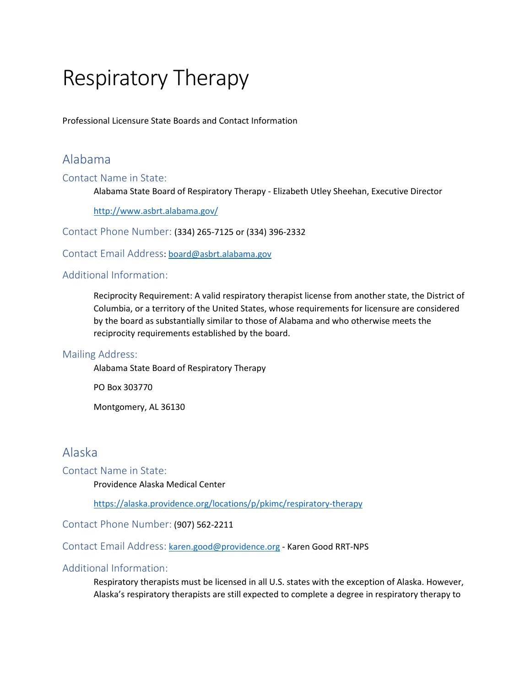# Respiratory Therapy

Professional Licensure State Boards and Contact Information

# Alabama

Contact Name in State:

Alabama State Board of Respiratory Therapy - Elizabeth Utley Sheehan, Executive Director

<http://www.asbrt.alabama.gov/>

Contact Phone Number: (334) 265-7125 or (334) 396-2332

Contact Email Address: [board@asbrt.alabama.gov](mailto:board@asbrt.alabama.gov)

# Additional Information:

Reciprocity Requirement: A valid respiratory therapist license from another state, the District of Columbia, or a territory of the United States, whose requirements for licensure are considered by the board as substantially similar to those of Alabama and who otherwise meets the reciprocity requirements established by the board.

# Mailing Address:

Alabama State Board of Respiratory Therapy

PO Box 303770

Montgomery, AL 36130

# Alaska

Contact Name in State:

Providence Alaska Medical Center

<https://alaska.providence.org/locations/p/pkimc/respiratory-therapy>

Contact Phone Number: (907) 562-2211

Contact Email Address: [karen.good@providence.org](mailto:karen.good@providence.org) - Karen Good RRT-NPS

# Additional Information:

Respiratory therapists must be licensed in all U.S. states with the exception of Alaska. However, Alaska's respiratory therapists are still expected to complete a degree in respiratory therapy to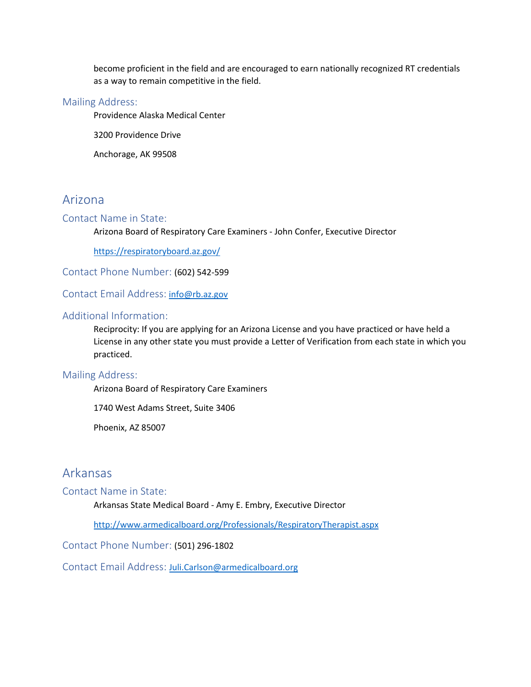become proficient in the field and are encouraged to earn nationally recognized RT credentials as a way to remain competitive in the field.

### Mailing Address:

Providence Alaska Medical Center

3200 Providence Drive

Anchorage, AK 99508

# Arizona

#### Contact Name in State:

Arizona Board of Respiratory Care Examiners - John Confer, Executive Director

<https://respiratoryboard.az.gov/>

Contact Phone Number: (602) 542-599

Contact Email Address: [info@rb.az.gov](mailto:info@rb.az.gov)

### Additional Information:

Reciprocity: If you are applying for an Arizona License and you have practiced or have held a License in any other state you must provide a Letter of Verification from each state in which you practiced.

#### Mailing Address:

Arizona Board of Respiratory Care Examiners

1740 West Adams Street, Suite 3406

Phoenix, AZ 85007

# Arkansas

#### Contact Name in State:

Arkansas State Medical Board - Amy E. Embry, Executive Director

<http://www.armedicalboard.org/Professionals/RespiratoryTherapist.aspx>

Contact Phone Number: (501) 296-1802

Contact Email Address:[Juli.Carlson@armedicalboard.org](mailto:Juli.Carlson@armedicalboard.org)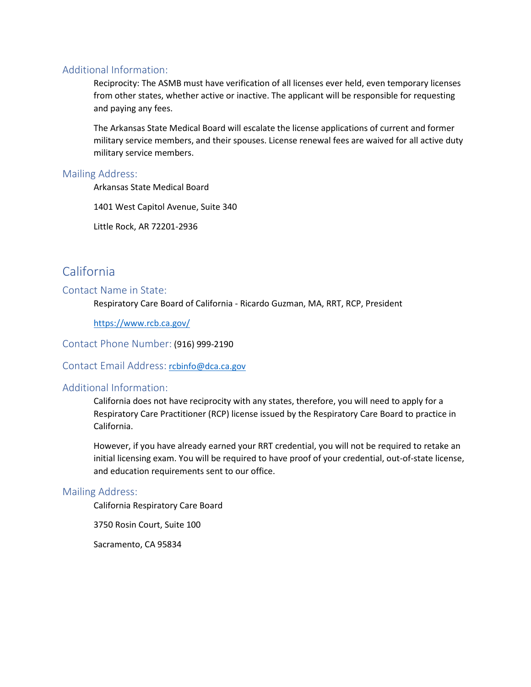### Additional Information:

Reciprocity: The ASMB must have verification of all licenses ever held, even temporary licenses from other states, whether active or inactive. The applicant will be responsible for requesting and paying any fees.

The Arkansas State Medical Board will escalate the license applications of current and former military service members, and their spouses. License renewal fees are waived for all active duty military service members.

#### Mailing Address:

Arkansas State Medical Board

1401 West Capitol Avenue, Suite 340

Little Rock, AR 72201-2936

# California

#### Contact Name in State:

Respiratory Care Board of California - Ricardo Guzman, MA, RRT, RCP, President

<https://www.rcb.ca.gov/>

Contact Phone Number: (916) 999-2190

#### Contact Email Address: [rcbinfo@dca.ca.gov](mailto:rcbinfo@dca.ca.gov)

#### Additional Information:

California does not have reciprocity with any states, therefore, you will need to apply for a Respiratory Care Practitioner (RCP) license issued by the Respiratory Care Board to practice in California.

However, if you have already earned your RRT credential, you will not be required to retake an initial licensing exam. You will be required to have proof of your credential, out-of-state license, and education requirements sent to our office.

#### Mailing Address:

California Respiratory Care Board

3750 Rosin Court, Suite 100

Sacramento, CA 95834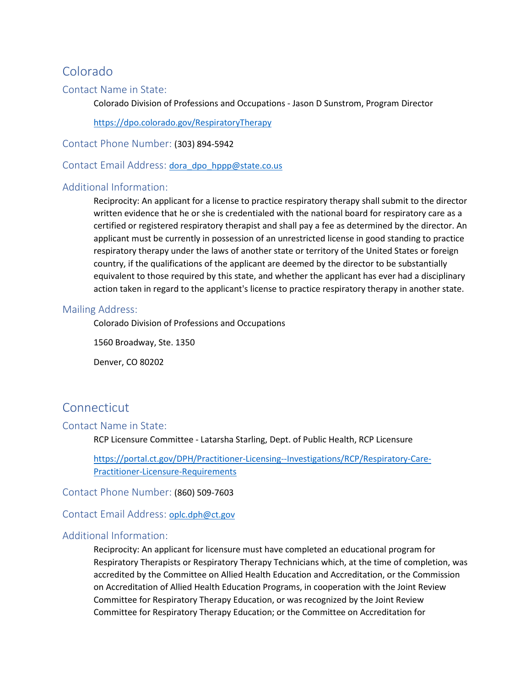# Colorado

#### Contact Name in State:

Colorado Division of Professions and Occupations - Jason D Sunstrom, Program Director

<https://dpo.colorado.gov/RespiratoryTherapy>

Contact Phone Number: (303) 894-5942

Contact Email Address:[dora\\_dpo\\_hppp@state.co.us](mailto:dora_dpo_hppp@state.co.us)

### Additional Information:

Reciprocity: An applicant for a license to practice respiratory therapy shall submit to the director written evidence that he or she is credentialed with the national board for respiratory care as a certified or registered respiratory therapist and shall pay a fee as determined by the director. An applicant must be currently in possession of an unrestricted license in good standing to practice respiratory therapy under the laws of another state or territory of the United States or foreign country, if the qualifications of the applicant are deemed by the director to be substantially equivalent to those required by this state, and whether the applicant has ever had a disciplinary action taken in regard to the applicant's license to practice respiratory therapy in another state.

#### Mailing Address:

Colorado Division of Professions and Occupations

1560 Broadway, Ste. 1350

Denver, CO 80202

# **Connecticut**

#### Contact Name in State:

RCP Licensure Committee - Latarsha Starling, Dept. of Public Health, RCP Licensure

[https://portal.ct.gov/DPH/Practitioner-Licensing--Investigations/RCP/Respiratory-Care-](https://portal.ct.gov/DPH/Practitioner-Licensing--Investigations/RCP/Respiratory-Care-Practitioner-Licensure-Requirements)[Practitioner-Licensure-Requirements](https://portal.ct.gov/DPH/Practitioner-Licensing--Investigations/RCP/Respiratory-Care-Practitioner-Licensure-Requirements)

Contact Phone Number: (860) 509-7603

# Contact Email Address:[oplc.dph@ct.gov](mailto:oplc.dph@ct.gov)

# Additional Information:

Reciprocity: An applicant for licensure must have completed an educational program for Respiratory Therapists or Respiratory Therapy Technicians which, at the time of completion, was accredited by the Committee on Allied Health Education and Accreditation, or the Commission on Accreditation of Allied Health Education Programs, in cooperation with the Joint Review Committee for Respiratory Therapy Education, or was recognized by the Joint Review Committee for Respiratory Therapy Education; or the Committee on Accreditation for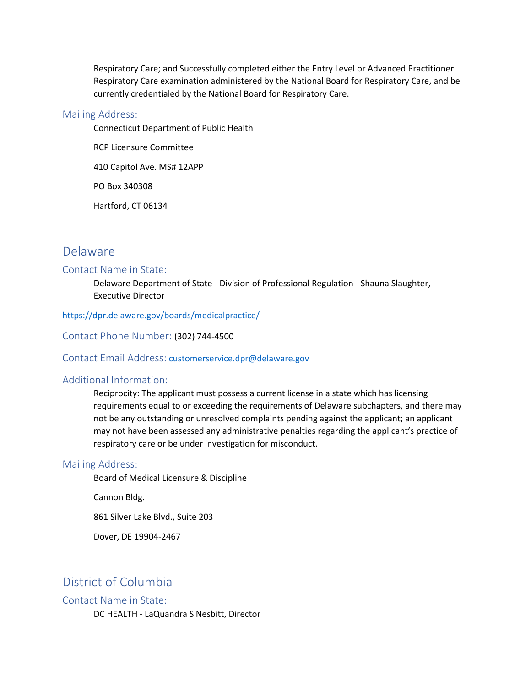Respiratory Care; and Successfully completed either the Entry Level or Advanced Practitioner Respiratory Care examination administered by the National Board for Respiratory Care, and be currently credentialed by the National Board for Respiratory Care.

#### Mailing Address:

Connecticut Department of Public Health

RCP Licensure Committee

410 Capitol Ave. MS# 12APP

PO Box 340308

Hartford, CT 06134

# Delaware

#### Contact Name in State:

Delaware Department of State - Division of Professional Regulation - Shauna Slaughter, Executive Director

<https://dpr.delaware.gov/boards/medicalpractice/>

Contact Phone Number: (302) 744-4500

Contact Email Address: [customerservice.dpr@delaware.gov](mailto:customerservice.dpr@delaware.gov)

#### Additional Information:

Reciprocity: The applicant must possess a current license in a state which has licensing requirements equal to or exceeding the requirements of Delaware subchapters, and there may not be any outstanding or unresolved complaints pending against the applicant; an applicant may not have been assessed any administrative penalties regarding the applicant's practice of respiratory care or be under investigation for misconduct.

#### Mailing Address:

Board of Medical Licensure & Discipline

Cannon Bldg.

861 Silver Lake Blvd., Suite 203

Dover, DE 19904-2467

# District of Columbia

#### Contact Name in State:

DC HEALTH - LaQuandra S Nesbitt, Director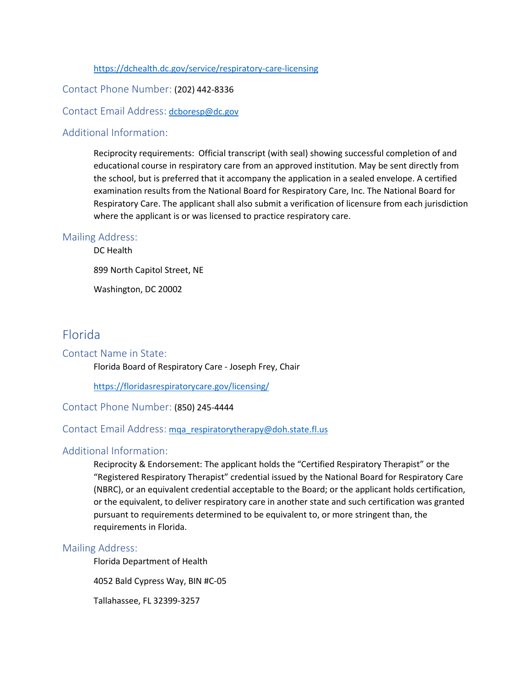#### <https://dchealth.dc.gov/service/respiratory-care-licensing>

#### Contact Phone Number: (202) 442-8336

Contact Email Address: [dcboresp@dc.gov](mailto:dcboresp@dc.gov)

#### Additional Information:

Reciprocity requirements: Official transcript (with seal) showing successful completion of and educational course in respiratory care from an approved institution. May be sent directly from the school, but is preferred that it accompany the application in a sealed envelope. A certified examination results from the National Board for Respiratory Care, Inc. The National Board for Respiratory Care. The applicant shall also submit a verification of licensure from each jurisdiction where the applicant is or was licensed to practice respiratory care.

#### Mailing Address:

DC Health 899 North Capitol Street, NE Washington, DC 20002

# Florida

#### Contact Name in State:

Florida Board of Respiratory Care - Joseph Frey, Chair

<https://floridasrespiratorycare.gov/licensing/>

Contact Phone Number: (850) 245-4444

# Contact Email Address: mga\_respiratorytherapy@doh.state.fl.us

### Additional Information:

Reciprocity & Endorsement: The applicant holds the "Certified Respiratory Therapist" or the "Registered Respiratory Therapist" credential issued by the National Board for Respiratory Care (NBRC), or an equivalent credential acceptable to the Board; or the applicant holds certification, or the equivalent, to deliver respiratory care in another state and such certification was granted pursuant to requirements determined to be equivalent to, or more stringent than, the requirements in Florida.

#### Mailing Address:

Florida Department of Health

4052 Bald Cypress Way, BIN #C-05

Tallahassee, FL 32399-3257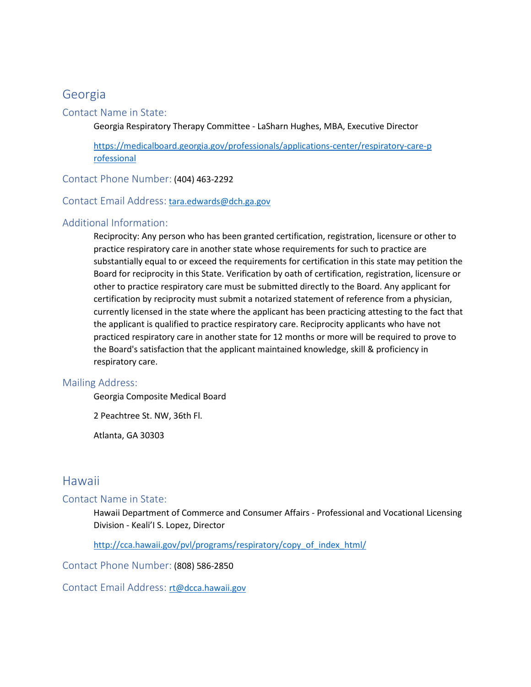# Georgia

### Contact Name in State:

Georgia Respiratory Therapy Committee - LaSharn Hughes, MBA, Executive Director

[https://medicalboard.georgia.gov/professionals/applications-center/respiratory-care-p](https://medicalboard.georgia.gov/professionals/applications-center/respiratory-care-professional) rofessional

Contact Phone Number: (404) 463-2292

#### Contact Email Address: [tara.edwards@dch.ga.gov](mailto:tara.edwards@dch.ga.gov)

# Additional Information:

Reciprocity: Any person who has been granted certification, registration, licensure or other to practice respiratory care in another state whose requirements for such to practice are substantially equal to or exceed the requirements for certification in this state may petition the Board for reciprocity in this State. Verification by oath of certification, registration, licensure or other to practice respiratory care must be submitted directly to the Board. Any applicant for certification by reciprocity must submit a notarized statement of reference from a physician, currently licensed in the state where the applicant has been practicing attesting to the fact that the applicant is qualified to practice respiratory care. Reciprocity applicants who have not practiced respiratory care in another state for 12 months or more will be required to prove to the Board's satisfaction that the applicant maintained knowledge, skill & proficiency in respiratory care.

#### Mailing Address:

Georgia Composite Medical Board

2 Peachtree St. NW, 36th Fl.

Atlanta, GA 30303

# Hawaii

#### Contact Name in State:

Hawaii Department of Commerce and Consumer Affairs - Professional and Vocational Licensing Division - Keali'I S. Lopez, Director

[http://cca.hawaii.gov/pvl/programs/respiratory/copy\\_of\\_index\\_html/](http://cca.hawaii.gov/pvl/programs/respiratory/copy_of_index_html/)

Contact Phone Number: (808) 586-2850

Contact Email Address:[rt@dcca.hawaii.gov](mailto:rt@dcca.hawaii.gov)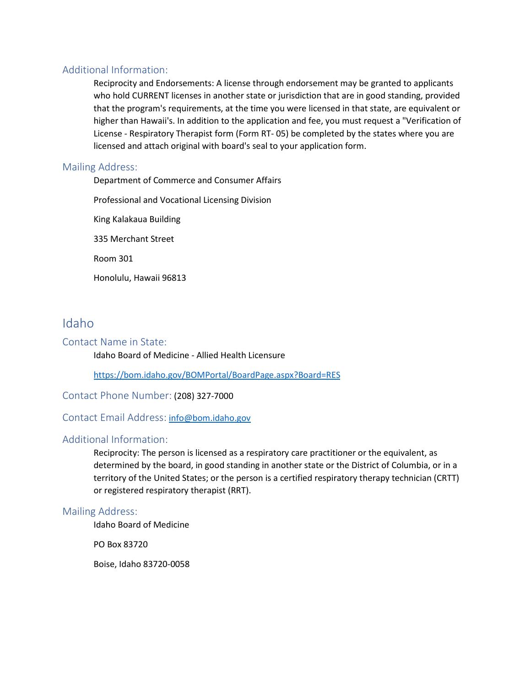# Additional Information:

Reciprocity and Endorsements: A license through endorsement may be granted to applicants who hold CURRENT licenses in another state or jurisdiction that are in good standing, provided that the program's requirements, at the time you were licensed in that state, are equivalent or higher than Hawaii's. In addition to the application and fee, you must request a "Verification of License - Respiratory Therapist form (Form RT- 05) be completed by the states where you are licensed and attach original with board's seal to your application form.

# Mailing Address:

Department of Commerce and Consumer Affairs

Professional and Vocational Licensing Division

King Kalakaua Building

335 Merchant Street

Room 301

Honolulu, Hawaii 96813

# Idaho

# Contact Name in State:

Idaho Board of Medicine - Allied Health Licensure

<https://bom.idaho.gov/BOMPortal/BoardPage.aspx?Board=RES>

Contact Phone Number: (208) 327-7000

Contact Email Address: [info@bom.idaho.gov](mailto:info@bom.idaho.gov)

# Additional Information:

Reciprocity: The person is licensed as a respiratory care practitioner or the equivalent, as determined by the board, in good standing in another state or the District of Columbia, or in a territory of the United States; or the person is a certified respiratory therapy technician (CRTT) or registered respiratory therapist (RRT).

# Mailing Address:

Idaho Board of Medicine

PO Box 83720

Boise, Idaho 83720-0058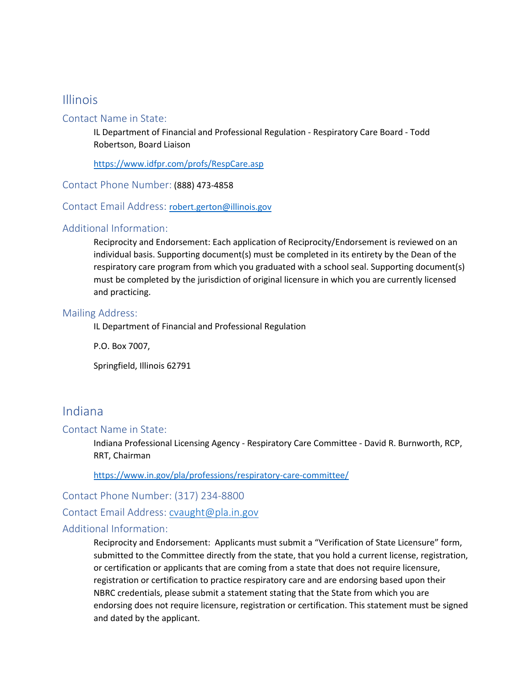# Illinois

### Contact Name in State:

IL Department of Financial and Professional Regulation - Respiratory Care Board - Todd Robertson, Board Liaison

<https://www.idfpr.com/profs/RespCare.asp>

Contact Phone Number: (888) 473-4858

#### Contact Email Address:[robert.gerton@illinois.gov](mailto:robert.gerton@illinois.gov)

### Additional Information:

Reciprocity and Endorsement: Each application of Reciprocity/Endorsement is reviewed on an individual basis. Supporting document(s) must be completed in its entirety by the Dean of the respiratory care program from which you graduated with a school seal. Supporting document(s) must be completed by the jurisdiction of original licensure in which you are currently licensed and practicing.

#### Mailing Address:

IL Department of Financial and Professional Regulation

P.O. Box 7007,

Springfield, Illinois 62791

# Indiana

### Contact Name in State:

Indiana Professional Licensing Agency - Respiratory Care Committee - David R. Burnworth, RCP, RRT, Chairman

<https://www.in.gov/pla/professions/respiratory-care-committee/>

Contact Phone Number: (317) 234-8800

Contact Email Address: [cvaught@pla.in.gov](mailto:cvaught@pla.in.gov)

#### Additional Information:

Reciprocity and Endorsement: Applicants must submit a "Verification of State Licensure" form, submitted to the Committee directly from the state, that you hold a current license, registration, or certification or applicants that are coming from a state that does not require licensure, registration or certification to practice respiratory care and are endorsing based upon their NBRC credentials, please submit a statement stating that the State from which you are endorsing does not require licensure, registration or certification. This statement must be signed and dated by the applicant.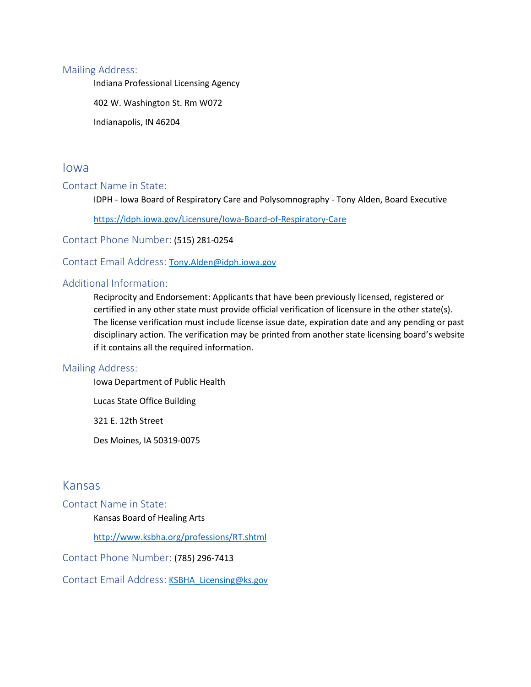#### Mailing Address:

Indiana Professional Licensing Agency

402 W. Washington St. Rm W072

Indianapolis, IN 46204

# Iowa

Contact Name in State:

IDPH - Iowa Board of Respiratory Care and Polysomnography - Tony Alden, Board Executive

<https://idph.iowa.gov/Licensure/Iowa-Board-of-Respiratory-Care>

Contact Phone Number: (515) 281-0254

#### Contact Email Address:[Tony.Alden@idph.iowa.gov](mailto:Tony.Alden@idph.iowa.gov)

# Additional Information:

Reciprocity and Endorsement: Applicants that have been previously licensed, registered or certified in any other state must provide official verification of licensure in the other state(s). The license verification must include license issue date, expiration date and any pending or past disciplinary action. The verification may be printed from another state licensing board's website if it contains all the required information.

#### Mailing Address:

Iowa Department of Public Health

Lucas State Office Building

321 E. 12th Street

Des Moines, IA 50319-0075

# Kansas

#### Contact Name in State:

# Kansas Board of Healing Arts

<http://www.ksbha.org/professions/RT.shtml>

Contact Phone Number: (785) 296-7413

Contact Email Address: [KSBHA\\_Licensing@ks.gov](mailto:KSBHA_Licensing@ks.gov)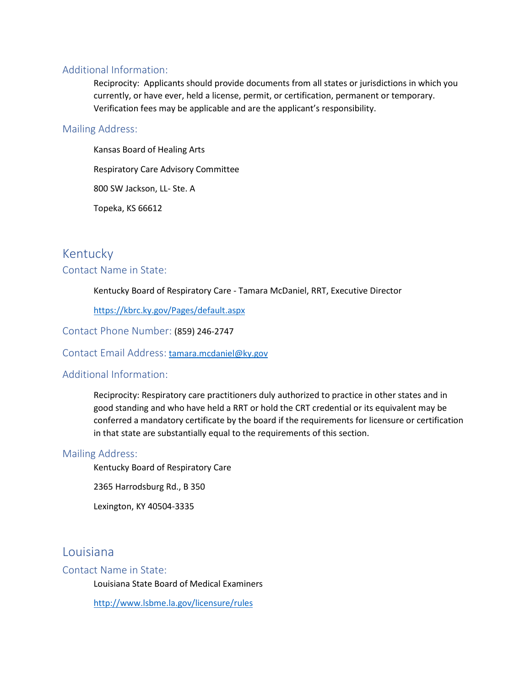# Additional Information:

Reciprocity: Applicants should provide documents from all states or jurisdictions in which you currently, or have ever, held a license, permit, or certification, permanent or temporary. Verification fees may be applicable and are the applicant's responsibility.

# Mailing Address:

Kansas Board of Healing Arts Respiratory Care Advisory Committee 800 SW Jackson, LL- Ste. A Topeka, KS 66612

# Kentucky

### Contact Name in State:

#### Kentucky Board of Respiratory Care - Tamara McDaniel, RRT, Executive Director

<https://kbrc.ky.gov/Pages/default.aspx>

Contact Phone Number: (859) 246-2747

#### Contact Email Address: [tamara.mcdaniel@ky.gov](mailto:tamara.mcdaniel@ky.gov)

# Additional Information:

Reciprocity: Respiratory care practitioners duly authorized to practice in other states and in good standing and who have held a RRT or hold the CRT credential or its equivalent may be conferred a mandatory certificate by the board if the requirements for licensure or certification in that state are substantially equal to the requirements of this section.

#### Mailing Address:

Kentucky Board of Respiratory Care

2365 Harrodsburg Rd., B 350

Lexington, KY 40504-3335

# Louisiana

#### Contact Name in State:

Louisiana State Board of Medical Examiners

<http://www.lsbme.la.gov/licensure/rules>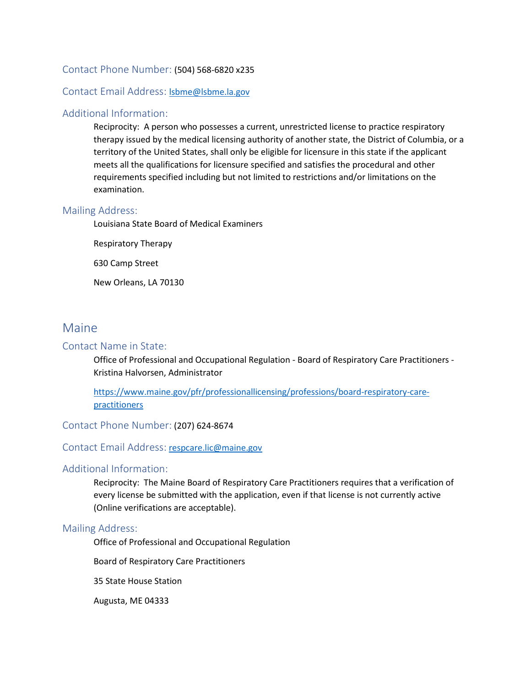### Contact Phone Number: (504) 568-6820 x235

### Contact Email Address:[lsbme@lsbme.la.gov](mailto:lsbme@lsbme.la.gov)

#### Additional Information:

Reciprocity: A person who possesses a current, unrestricted license to practice respiratory therapy issued by the medical licensing authority of another state, the District of Columbia, or a territory of the United States, shall only be eligible for licensure in this state if the applicant meets all the qualifications for licensure specified and satisfies the procedural and other requirements specified including but not limited to restrictions and/or limitations on the examination.

#### Mailing Address:

Louisiana State Board of Medical Examiners

Respiratory Therapy

630 Camp Street

New Orleans, LA 70130

# Maine

#### Contact Name in State:

Office of Professional and Occupational Regulation - Board of Respiratory Care Practitioners - Kristina Halvorsen, Administrator

[https://www.maine.gov/pfr/professionallicensing/professions/board-respiratory-care](https://www.maine.gov/pfr/professionallicensing/professions/board-respiratory-care-practitioners)practitioners

Contact Phone Number: (207) 624-8674

#### Contact Email Address: [respcare.lic@maine.gov](mailto:respcare.lic@maine.gov)

#### Additional Information:

Reciprocity: The Maine Board of Respiratory Care Practitioners requires that a verification of every license be submitted with the application, even if that license is not currently active (Online verifications are acceptable).

#### Mailing Address:

Office of Professional and Occupational Regulation

Board of Respiratory Care Practitioners

35 State House Station

Augusta, ME 04333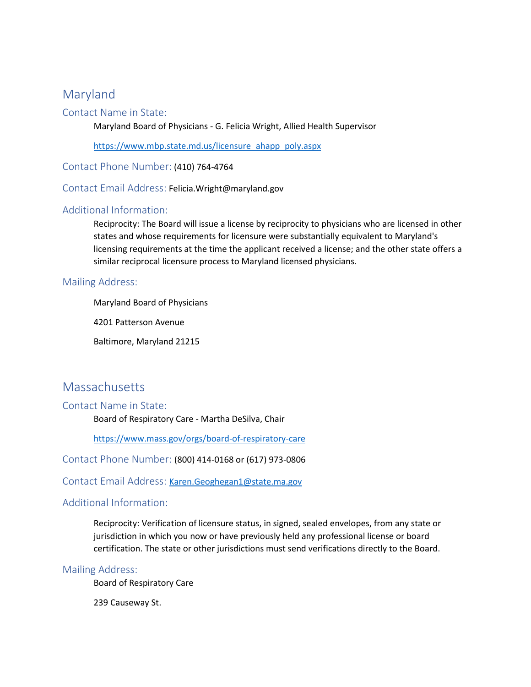# Maryland

# Contact Name in State:

Maryland Board of Physicians - G. Felicia Wright, Allied Health Supervisor

[https://www.mbp.state.md.us/licensure\\_ahapp\\_poly.aspx](https://www.mbp.state.md.us/licensure_ahapp_poly.aspx)

Contact Phone Number: (410) 764-4764

Contact Email Address: Felicia.Wright@maryland.gov

# Additional Information:

Reciprocity: The Board will issue a license by reciprocity to physicians who are licensed in other states and whose requirements for licensure were substantially equivalent to Maryland's licensing requirements at the time the applicant received a license; and the other state offers a similar reciprocal licensure process to Maryland licensed physicians.

# Mailing Address:

Maryland Board of Physicians

4201 Patterson Avenue

Baltimore, Maryland 21215

# Massachusetts

# Contact Name in State:

Board of Respiratory Care - Martha DeSilva, Chair

<https://www.mass.gov/orgs/board-of-respiratory-care>

Contact Phone Number: (800) 414-0168 or (617) 973-0806

ContactEmail Address: [Karen.Geoghegan1@state.ma.gov](mailto:Karen.Geoghegan1@state.ma.gov)

# Additional Information:

Reciprocity: Verification of licensure status, in signed, sealed envelopes, from any state or jurisdiction in which you now or have previously held any professional license or board certification. The state or other jurisdictions must send verifications directly to the Board.

# Mailing Address:

Board of Respiratory Care

239 Causeway St.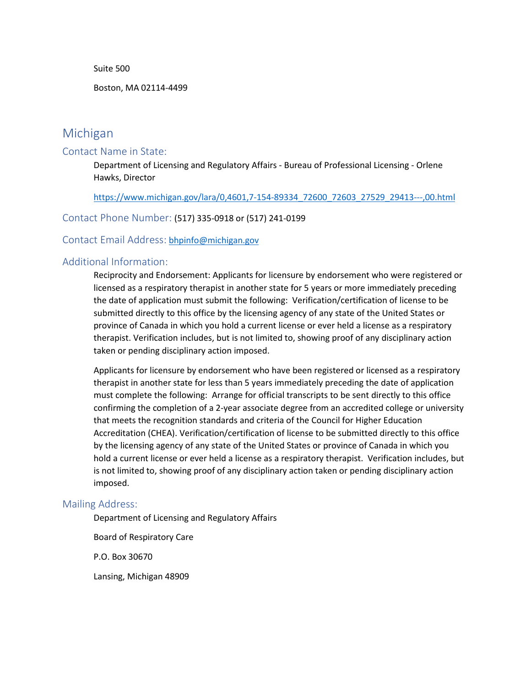Suite 500

Boston, MA 02114-4499

# Michigan

#### Contact Name in State:

Department of Licensing and Regulatory Affairs - Bureau of Professional Licensing - Orlene Hawks, Director

[https://www.michigan.gov/lara/0,4601,7-154-89334\\_72600\\_72603\\_27529\\_29413---,00.html](https://www.michigan.gov/lara/0,4601,7-154-89334_72600_72603_27529_29413---,00.html)

#### Contact Phone Number: (517) 335-0918 or (517) 241-0199

#### Contact Email Address: [bhpinfo@michigan.gov](mailto:bhpinfo@michigan.gov)

#### Additional Information:

Reciprocity and Endorsement: Applicants for licensure by endorsement who were registered or licensed as a respiratory therapist in another state for 5 years or more immediately preceding the date of application must submit the following: Verification/certification of license to be submitted directly to this office by the licensing agency of any state of the United States or province of Canada in which you hold a current license or ever held a license as a respiratory therapist. Verification includes, but is not limited to, showing proof of any disciplinary action taken or pending disciplinary action imposed.

Applicants for licensure by endorsement who have been registered or licensed as a respiratory therapist in another state for less than 5 years immediately preceding the date of application must complete the following: Arrange for official transcripts to be sent directly to this office confirming the completion of a 2-year associate degree from an accredited college or university that meets the recognition standards and criteria of the Council for Higher Education Accreditation (CHEA). Verification/certification of license to be submitted directly to this office by the licensing agency of any state of the United States or province of Canada in which you hold a current license or ever held a license as a respiratory therapist. Verification includes, but is not limited to, showing proof of any disciplinary action taken or pending disciplinary action imposed.

#### Mailing Address:

Department of Licensing and Regulatory Affairs

Board of Respiratory Care

P.O. Box 30670

Lansing, Michigan 48909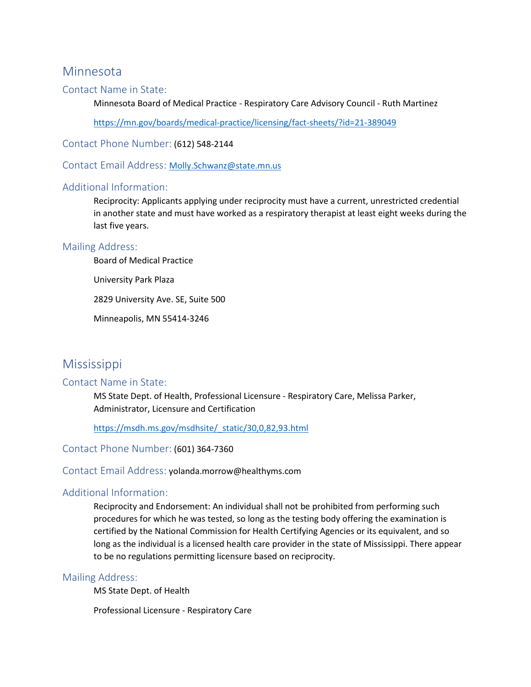# Minnesota

### Contact Name in State:

Minnesota Board of Medical Practice - Respiratory Care Advisory Council - Ruth Martinez

<https://mn.gov/boards/medical-practice/licensing/fact-sheets/?id=21-389049>

Contact Phone Number: (612) 548-2144

Contact Email Address:[Molly.Schwanz@state.mn.us](mailto:Molly.Schwanz@state.mn.us)

### Additional Information:

Reciprocity: Applicants applying under reciprocity must have a current, unrestricted credential in another state and must have worked as a respiratory therapist at least eight weeks during the last five years.

### Mailing Address:

Board of Medical Practice

University Park Plaza

2829 University Ave. SE, Suite 500

Minneapolis, MN 55414-3246

# Mississippi

# Contact Name in State:

MS State Dept. of Health, Professional Licensure - Respiratory Care, Melissa Parker, Administrator, Licensure and Certification

[https://msdh.ms.gov/msdhsite/\\_static/30,0,82,93.html](https://msdh.ms.gov/msdhsite/_static/30,0,82,93.html)

Contact Phone Number: (601) 364-7360

Contact Email Address: yolanda.morrow@healthyms.com

# Additional Information:

Reciprocity and Endorsement: An individual shall not be prohibited from performing such procedures for which he was tested, so long as the testing body offering the examination is certified by the National Commission for Health Certifying Agencies or its equivalent, and so long as the individual is a licensed health care provider in the state of Mississippi. There appear to be no regulations permitting licensure based on reciprocity.

# Mailing Address:

MS State Dept. of Health

Professional Licensure - Respiratory Care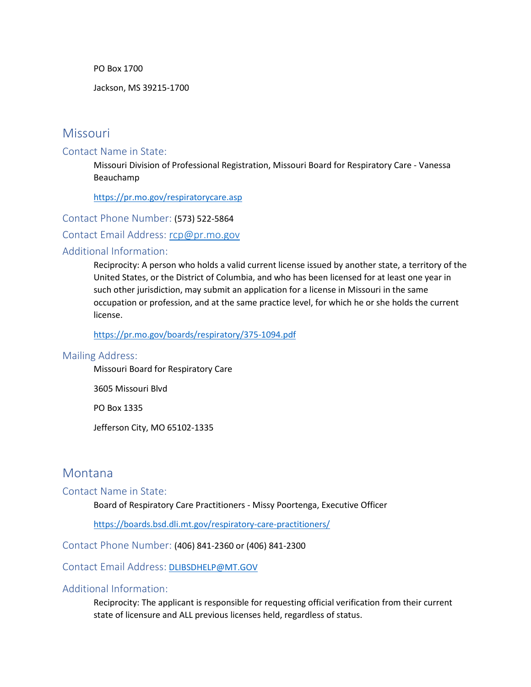PO Box 1700

Jackson, MS 39215-1700

# **Missouri**

#### Contact Name in State:

Missouri Division of Professional Registration, Missouri Board for Respiratory Care - Vanessa Beauchamp

<https://pr.mo.gov/respiratorycare.asp>

Contact Phone Number: (573) 522-5864

Contact Email Address: [rcp@pr.mo.gov](mailto:rcp@pr.mo.gov)

#### Additional Information:

Reciprocity: A person who holds a valid current license issued by another state, a territory of the United States, or the District of Columbia, and who has been licensed for at least one year in such other jurisdiction, may submit an application for a license in Missouri in the same occupation or profession, and at the same practice level, for which he or she holds the current license.

<https://pr.mo.gov/boards/respiratory/375-1094.pdf>

#### Mailing Address:

Missouri Board for Respiratory Care

3605 Missouri Blvd

PO Box 1335

Jefferson City, MO 65102-1335

# Montana

#### Contact Name in State:

Board of Respiratory Care Practitioners - Missy Poortenga, Executive Officer

<https://boards.bsd.dli.mt.gov/respiratory-care-practitioners/>

Contact Phone Number: (406) 841-2360 or (406) 841-2300

Contact Email Address: [DLIBSDHELP@MT.GOV](mailto:DLIBSDHELP@MT.GOV)

#### Additional Information:

Reciprocity: The applicant is responsible for requesting official verification from their current state of licensure and ALL previous licenses held, regardless of status.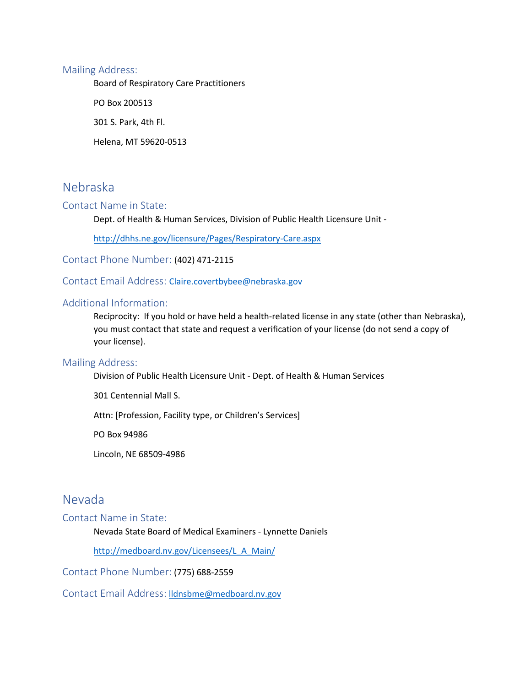#### Mailing Address:

Board of Respiratory Care Practitioners

PO Box 200513

301 S. Park, 4th Fl.

Helena, MT 59620-0513

# Nebraska

### Contact Name in State:

Dept. of Health & Human Services, Division of Public Health Licensure Unit -

<http://dhhs.ne.gov/licensure/Pages/Respiratory-Care.aspx>

Contact Phone Number: (402) 471-2115

ContactEmail Address: [Claire.covertbybee@nebraska.gov](mailto:Claire.covertbybee@nebraska.gov)

# Additional Information:

Reciprocity: If you hold or have held a health-related license in any state (other than Nebraska), you must contact that state and request a verification of your license (do not send a copy of your license).

#### Mailing Address:

Division of Public Health Licensure Unit - Dept. of Health & Human Services

301 Centennial Mall S.

Attn: [Profession, Facility type, or Children's Services]

PO Box 94986

Lincoln, NE 68509-4986

# Nevada

#### Contact Name in State:

Nevada State Board of Medical Examiners - Lynnette Daniels

[http://medboard.nv.gov/Licensees/L\\_A\\_Main/](http://medboard.nv.gov/Licensees/L_A_Main/)

Contact Phone Number: (775) 688-2559

Contact Email Address: [lldnsbme@medboard.nv.gov](mailto:lldnsbme@medboard.nv.gov)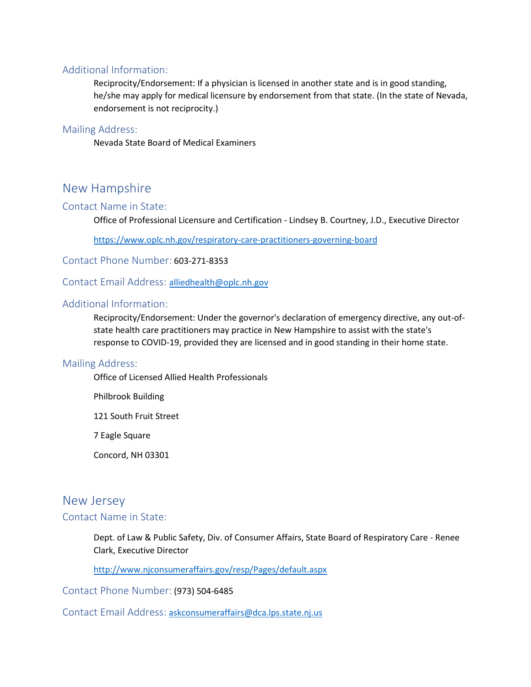### Additional Information:

Reciprocity/Endorsement: If a physician is licensed in another state and is in good standing, he/she may apply for medical licensure by endorsement from that state. (In the state of Nevada, endorsement is not reciprocity.)

### Mailing Address:

Nevada State Board of Medical Examiners

# New Hampshire

#### Contact Name in State:

Office of Professional Licensure and Certification - Lindsey B. Courtney, J.D., Executive Director

<https://www.oplc.nh.gov/respiratory-care-practitioners-governing-board>

Contact Phone Number: 603-271-8353

# Contact Email Address:[alliedhealth@oplc.nh.gov](mailto:alliedhealth@oplc.nh.gov)

### Additional Information:

Reciprocity/Endorsement: Under the governor's declaration of emergency directive, any out-ofstate health care practitioners may practice in New Hampshire to assist with the state's response to COVID-19, provided they are licensed and in good standing in their home state.

#### Mailing Address:

Office of Licensed Allied Health Professionals

Philbrook Building

121 South Fruit Street

7 Eagle Square

Concord, NH 03301

# New Jersey

### Contact Name in State:

Dept. of Law & Public Safety, Div. of Consumer Affairs, State Board of Respiratory Care - Renee Clark, Executive Director

<http://www.njconsumeraffairs.gov/resp/Pages/default.aspx>

Contact Phone Number: (973) 504-6485

Contact Email Address: [askconsumeraffairs@dca.lps.state.nj.us](mailto:askconsumeraffairs@dca.lps.state.nj.us)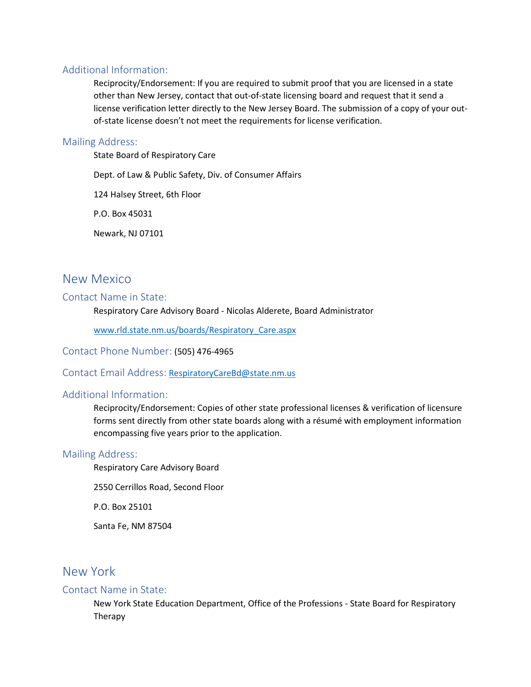# Additional Information:

Reciprocity/Endorsement: If you are required to submit proof that you are licensed in a state other than New Jersey, contact that out-of-state licensing board and request that it send a license verification letter directly to the New Jersey Board. The submission of a copy of your outof-state license doesn't not meet the requirements for license verification.

### Mailing Address:

State Board of Respiratory Care

Dept. of Law & Public Safety, Div. of Consumer Affairs

124 Halsey Street, 6th Floor

P.O. Box 45031

Newark, NJ 07101

# New Mexico

#### Contact Name in State:

Respiratory Care Advisory Board - Nicolas Alderete, Board Administrator

[www.rld.state.nm.us/boards/Respiratory\\_Care.aspx](http://www.rld.state.nm.us/boards/Respiratory_Care.aspx)

Contact Phone Number: (505) 476-4965

Contact Email Address: [RespiratoryCareBd@state.nm.us](mailto:RespiratoryCareBd@state.nm.us)

# Additional Information:

Reciprocity/Endorsement: Copies of other state professional licenses & verification of licensure forms sent directly from other state boards along with a résumé with employment information encompassing five years prior to the application.

#### Mailing Address:

Respiratory Care Advisory Board

2550 Cerrillos Road, Second Floor

P.O. Box 25101

Santa Fe, NM 87504

# New York

#### Contact Name in State:

New York State Education Department, Office of the Professions - State Board for Respiratory Therapy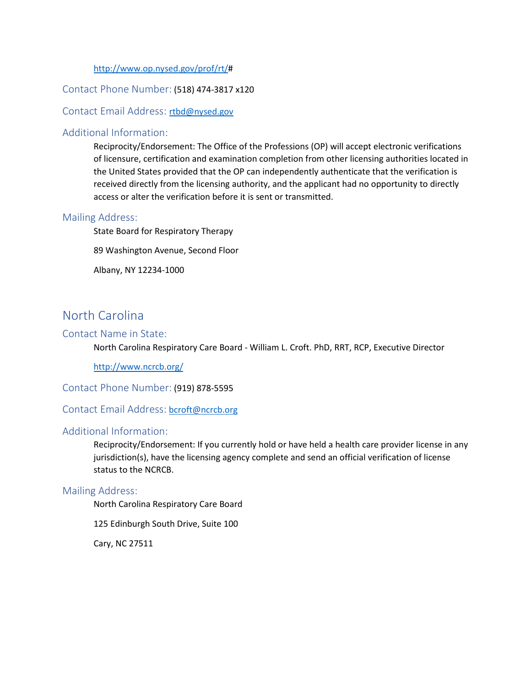#### [http://www.op.nysed.gov/prof/rt/#](http://www.op.nysed.gov/prof/rt/)

#### Contact Phone Number: (518) 474-3817 x120

# Contact Email Address:[rtbd@nysed.gov](mailto:rtbd@nysed.gov)

#### Additional Information:

Reciprocity/Endorsement: The Office of the Professions (OP) will accept electronic verifications of licensure, certification and examination completion from other licensing authorities located in the United States provided that the OP can independently authenticate that the verification is received directly from the licensing authority, and the applicant had no opportunity to directly access or alter the verification before it is sent or transmitted.

#### Mailing Address:

State Board for Respiratory Therapy

89 Washington Avenue, Second Floor

Albany, NY 12234-1000

# North Carolina

#### Contact Name in State:

North Carolina Respiratory Care Board - William L. Croft. PhD, RRT, RCP, Executive Director

### <http://www.ncrcb.org/>

Contact Phone Number: (919) 878-5595

#### Contact Email Address: [bcroft@ncrcb.org](mailto:bcroft@ncrcb.org)

### Additional Information:

Reciprocity/Endorsement: If you currently hold or have held a health care provider license in any jurisdiction(s), have the licensing agency complete and send an official verification of license status to the NCRCB.

#### Mailing Address:

North Carolina Respiratory Care Board

125 Edinburgh South Drive, Suite 100

Cary, NC 27511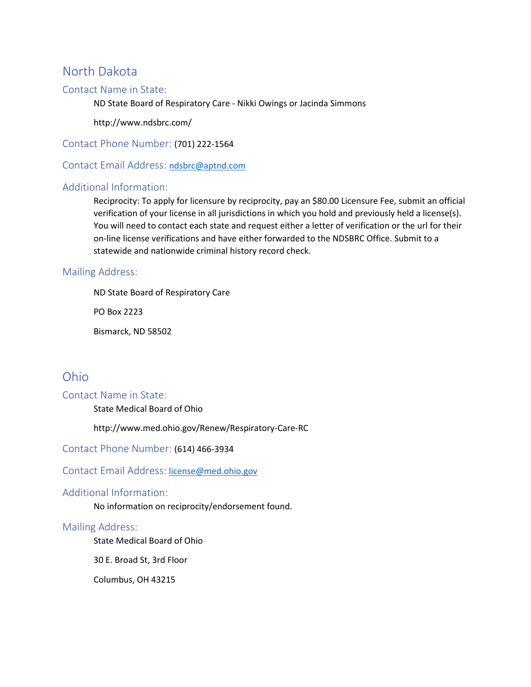# North Dakota

# Contact Name in State:

ND State Board of Respiratory Care - Nikki Owings or Jacinda Simmons

http://www.ndsbrc.com/

Contact Phone Number: (701) 222-1564

ContactEmail Address: [ndsbrc@aptnd.com](mailto:ndsbrc@aptnd.com)

# Additional Information:

Reciprocity: To apply for licensure by reciprocity, pay an \$80.00 Licensure Fee, submit an official verification of your license in all jurisdictions in which you hold and previously held a license(s). You will need to contact each state and request either a letter of verification or the url for their on-line license verifications and have either forwarded to the NDSBRC Office. Submit to a statewide and nationwide criminal history record check.

# Mailing Address:

ND State Board of Respiratory Care

PO Box 2223

Bismarck, ND 58502

# Ohio

#### Contact Name in State:

State Medical Board of Ohio

http://www.med.ohio.gov/Renew/Respiratory-Care-RC

Contact Phone Number: (614) 466-3934

#### Contact Email Address: [license@med.ohio.gov](mailto:license@med.ohio.gov)

# Additional Information:

No information on reciprocity/endorsement found.

#### Mailing Address:

State Medical Board of Ohio

30 E. Broad St, 3rd Floor

Columbus, OH 43215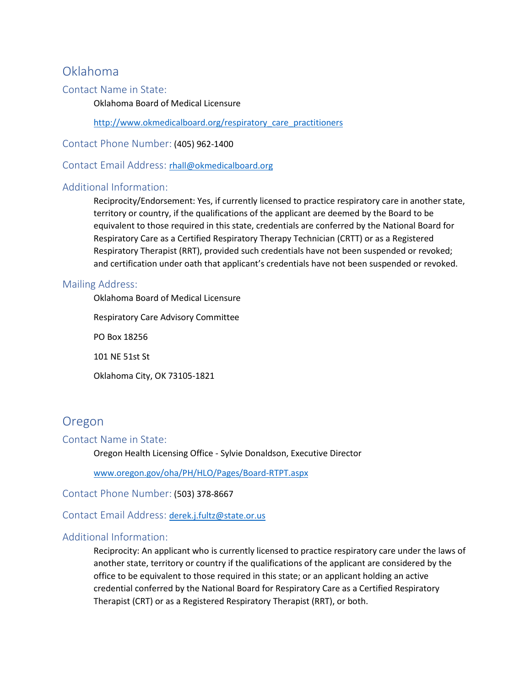# Oklahoma

### Contact Name in State:

Oklahoma Board of Medical Licensure

[http://www.okmedicalboard.org/respiratory\\_care\\_practitioners](http://www.okmedicalboard.org/respiratory_care_practitioners)

Contact Phone Number: (405) 962-1400

Contact Email Address: [rhall@okmedicalboard.org](mailto:rhall@okmedicalboard.org)

# Additional Information:

Reciprocity/Endorsement: Yes, if currently licensed to practice respiratory care in another state, territory or country, if the qualifications of the applicant are deemed by the Board to be equivalent to those required in this state, credentials are conferred by the National Board for Respiratory Care as a Certified Respiratory Therapy Technician (CRTT) or as a Registered Respiratory Therapist (RRT), provided such credentials have not been suspended or revoked; and certification under oath that applicant's credentials have not been suspended or revoked.

# Mailing Address:

Oklahoma Board of Medical Licensure Respiratory Care Advisory Committee PO Box 18256 101 NE 51st St Oklahoma City, OK 73105-1821

# Oregon

# Contact Name in State:

Oregon Health Licensing Office - Sylvie Donaldson, Executive Director

[www.oregon.gov/oha/PH/HLO/Pages/Board-RTPT.aspx](http://www.oregon.gov/oha/PH/HLO/Pages/Board-RTPT.aspx)

Contact Phone Number: (503) 378-8667

# Contact Email Address:[derek.j.fultz@state.or.us](mailto:derek.j.fultz@state.or.us)

# Additional Information:

Reciprocity: An applicant who is currently licensed to practice respiratory care under the laws of another state, territory or country if the qualifications of the applicant are considered by the office to be equivalent to those required in this state; or an applicant holding an active credential conferred by the National Board for Respiratory Care as a Certified Respiratory Therapist (CRT) or as a Registered Respiratory Therapist (RRT), or both.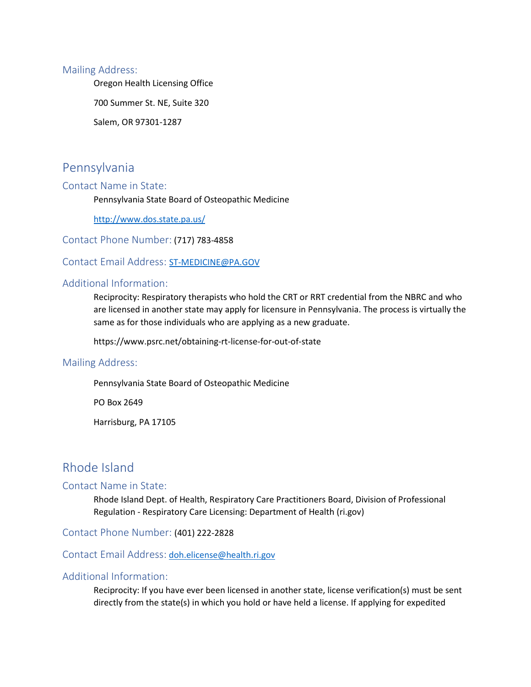#### Mailing Address:

Oregon Health Licensing Office

700 Summer St. NE, Suite 320

Salem, OR 97301-1287

# Pennsylvania

### Contact Name in State:

Pennsylvania State Board of Osteopathic Medicine

<http://www.dos.state.pa.us/>

Contact Phone Number: (717) 783-4858

#### Contact Email Address: [ST-MEDICINE@PA.GOV](mailto:ST-MEDICINE@PA.GOV)

# Additional Information:

Reciprocity: Respiratory therapists who hold the CRT or RRT credential from the NBRC and who are licensed in another state may apply for licensure in Pennsylvania. The process is virtually the same as for those individuals who are applying as a new graduate.

https://www.psrc.net/obtaining-rt-license-for-out-of-state

### Mailing Address:

Pennsylvania State Board of Osteopathic Medicine

PO Box 2649

Harrisburg, PA 17105

# Rhode Island

#### Contact Name in State:

Rhode Island Dept. of Health, Respiratory Care Practitioners Board, Division of Professional Regulation - Respiratory Care Licensing: Department of Health (ri.gov)

Contact Phone Number: (401) 222-2828

### Contact Email Address: [doh.elicense@health.ri.gov](mailto:doh.elicense@health.ri.gov)

### Additional Information:

Reciprocity: If you have ever been licensed in another state, license verification(s) must be sent directly from the state(s) in which you hold or have held a license. If applying for expedited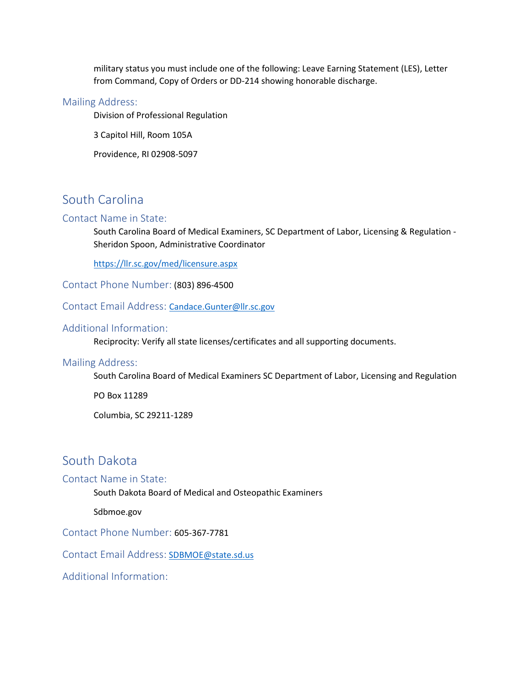military status you must include one of the following: Leave Earning Statement (LES), Letter from Command, Copy of Orders or DD-214 showing honorable discharge.

#### Mailing Address:

Division of Professional Regulation

3 Capitol Hill, Room 105A

Providence, RI 02908-5097

# South Carolina

#### Contact Name in State:

South Carolina Board of Medical Examiners, SC Department of Labor, Licensing & Regulation - Sheridon Spoon, Administrative Coordinator

<https://llr.sc.gov/med/licensure.aspx>

Contact Phone Number: (803) 896-4500

# Contact Email Address:[Candace.Gunter@llr.sc.gov](mailto:Candace.Gunter@llr.sc.gov)

#### Additional Information:

Reciprocity: Verify all state licenses/certificates and all supporting documents.

# Mailing Address:

South Carolina Board of Medical Examiners SC Department of Labor, Licensing and Regulation

PO Box 11289

Columbia, SC 29211-1289

# South Dakota

#### Contact Name in State:

South Dakota Board of Medical and Osteopathic Examiners

#### Sdbmoe.gov

Contact Phone Number: 605-367-7781

Contact Email Address: [SDBMOE@state.sd.us](mailto:SDBMOE@state.sd.us)

Additional Information: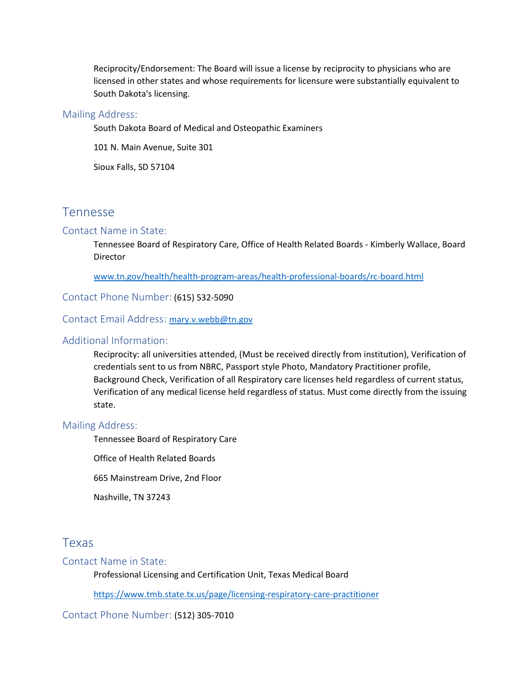Reciprocity/Endorsement: The Board will issue a license by reciprocity to physicians who are licensed in other states and whose requirements for licensure were substantially equivalent to South Dakota's licensing.

#### Mailing Address:

South Dakota Board of Medical and Osteopathic Examiners

101 N. Main Avenue, Suite 301

Sioux Falls, SD 57104

# Tennesse

#### Contact Name in State:

Tennessee Board of Respiratory Care, Office of Health Related Boards - Kimberly Wallace, Board Director

[www.tn.gov/health/health-program-areas/health-professional-boards/rc-board.html](http://www.tn.gov/health/health-program-areas/health-professional-boards/rc-board.html)

#### Contact Phone Number: (615) 532-5090

### Contact Email Address:[mary.v.webb@tn.gov](mailto:mary.v.webb@tn.gov)

### Additional Information:

Reciprocity: all universities attended, (Must be received directly from institution), Verification of credentials sent to us from NBRC, Passport style Photo, Mandatory Practitioner profile, Background Check, Verification of all Respiratory care licenses held regardless of current status, Verification of any medical license held regardless of status. Must come directly from the issuing state.

#### Mailing Address:

Tennessee Board of Respiratory Care

Office of Health Related Boards

665 Mainstream Drive, 2nd Floor

Nashville, TN 37243

# Texas

#### Contact Name in State:

Professional Licensing and Certification Unit, Texas Medical Board

<https://www.tmb.state.tx.us/page/licensing-respiratory-care-practitioner>

Contact Phone Number: (512) 305-7010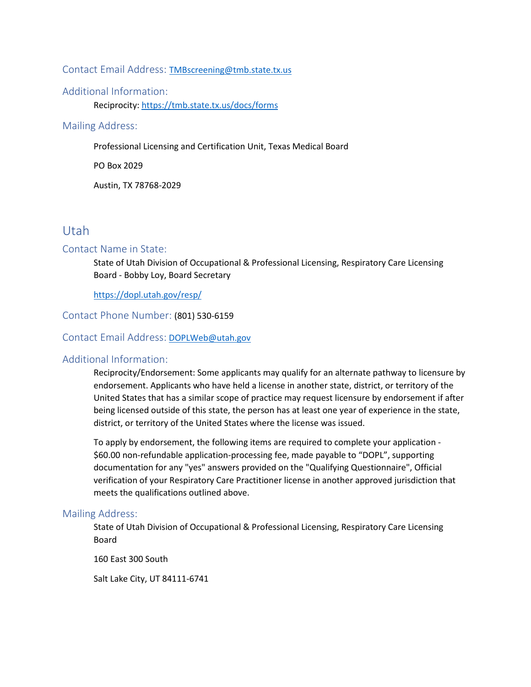### Contact Email Address:[TMBscreening@tmb.state.tx.us](mailto:TMBscreening@tmb.state.tx.us)

#### Additional Information:

Reciprocity:<https://tmb.state.tx.us/docs/forms>

### Mailing Address:

Professional Licensing and Certification Unit, Texas Medical Board

PO Box 2029

Austin, TX 78768-2029

# Utah

#### Contact Name in State:

State of Utah Division of Occupational & Professional Licensing, Respiratory Care Licensing Board - Bobby Loy, Board Secretary

<https://dopl.utah.gov/resp/>

#### Contact Phone Number: (801) 530-6159

#### Contact Email Address: [DOPLWeb@utah.gov](mailto:DOPLWeb@utah.gov)

#### Additional Information:

Reciprocity/Endorsement: Some applicants may qualify for an alternate pathway to licensure by endorsement. Applicants who have held a license in another state, district, or territory of the United States that has a similar scope of practice may request licensure by endorsement if after being licensed outside of this state, the person has at least one year of experience in the state, district, or territory of the United States where the license was issued.

To apply by endorsement, the following items are required to complete your application - \$60.00 non-refundable application-processing fee, made payable to "DOPL", supporting documentation for any "yes" answers provided on the "Qualifying Questionnaire", Official verification of your Respiratory Care Practitioner license in another approved jurisdiction that meets the qualifications outlined above.

#### Mailing Address:

State of Utah Division of Occupational & Professional Licensing, Respiratory Care Licensing Board

160 East 300 South

Salt Lake City, UT 84111-6741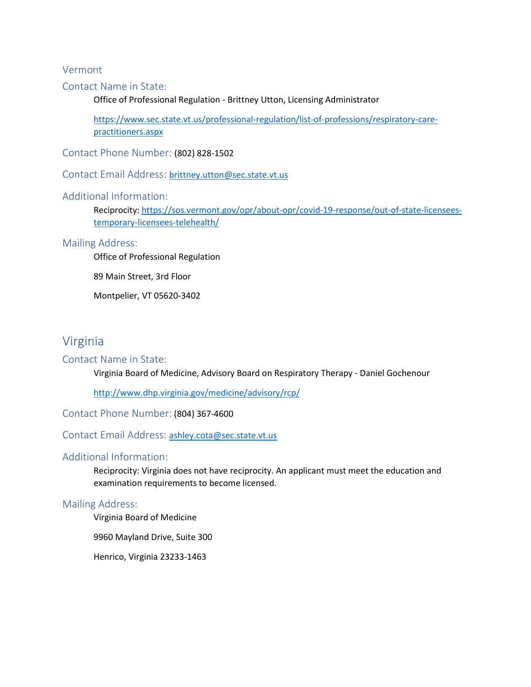#### Vermont

#### Contact Name in State:

Office of Professional Regulation - Brittney Utton, Licensing Administrator

[https://www.sec.state.vt.us/professional-regulation/list-of-professions/respiratory-care](https://www.sec.state.vt.us/professional-regulation/list-of-professions/respiratory-care-practitioners.aspx)[practitioners.aspx](https://www.sec.state.vt.us/professional-regulation/list-of-professions/respiratory-care-practitioners.aspx)

Contact Phone Number: (802) 828-1502

ContactEmail Address: [brittney.utton@sec.state.vt.us](mailto:brittney.utton@sec.state.vt.us)

# Additional Information:

Reciprocity: [https://sos.vermont.gov/opr/about-opr/covid-19-response/out-of-state-licensees](https://sos.vermont.gov/opr/about-opr/covid-19-response/out-of-state-licensees-temporary-licensees-telehealth/)[temporary-licensees-telehealth/](https://sos.vermont.gov/opr/about-opr/covid-19-response/out-of-state-licensees-temporary-licensees-telehealth/)

# Mailing Address:

Office of Professional Regulation

89 Main Street, 3rd Floor

Montpelier, VT 05620-3402

# Virginia

# Contact Name in State:

Virginia Board of Medicine, Advisory Board on Respiratory Therapy - Daniel Gochenour

<http://www.dhp.virginia.gov/medicine/advisory/rcp/>

Contact Phone Number: (804) 367-4600

Contact Email Address:[ashley.cota@sec.state.vt.us](mailto:ashley.cota@sec.state.vt.us)

#### Additional Information:

Reciprocity: Virginia does not have reciprocity. An applicant must meet the education and examination requirements to become licensed.

#### Mailing Address:

Virginia Board of Medicine

9960 Mayland Drive, Suite 300

Henrico, Virginia 23233-1463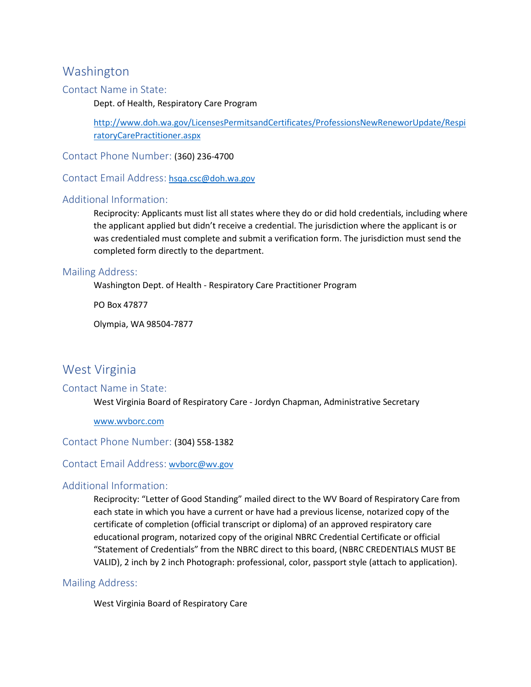# Washington

### Contact Name in State:

Dept. of Health, Respiratory Care Program

[http://www.doh.wa.gov/LicensesPermitsandCertificates/ProfessionsNewReneworUpdate/Respi](http://www.doh.wa.gov/LicensesPermitsandCertificates/ProfessionsNewReneworUpdate/RespiratoryCarePractitioner.aspx) [ratoryCarePractitioner.aspx](http://www.doh.wa.gov/LicensesPermitsandCertificates/ProfessionsNewReneworUpdate/RespiratoryCarePractitioner.aspx)

Contact Phone Number: (360) 236-4700

Contact Email Address: [hsqa.csc@doh.wa.gov](mailto:hsqa.csc@doh.wa.gov)

# Additional Information:

Reciprocity: Applicants must list all states where they do or did hold credentials, including where the applicant applied but didn't receive a credential. The jurisdiction where the applicant is or was credentialed must complete and submit a verification form. The jurisdiction must send the completed form directly to the department.

# Mailing Address:

Washington Dept. of Health - Respiratory Care Practitioner Program

PO Box 47877

Olympia, WA 98504-7877

# West Virginia

# Contact Name in State:

West Virginia Board of Respiratory Care - Jordyn Chapman, Administrative Secretary

[www.wvborc.com](http://www.wvborc.com/)

Contact Phone Number: (304) 558-1382

Contact Email Address: [wvborc@wv.gov](mailto:wvborc@wv.gov)

# Additional Information:

Reciprocity: "Letter of Good Standing" mailed direct to the WV Board of Respiratory Care from each state in which you have a current or have had a previous license, notarized copy of the certificate of completion (official transcript or diploma) of an approved respiratory care educational program, notarized copy of the original NBRC Credential Certificate or official "Statement of Credentials" from the NBRC direct to this board, (NBRC CREDENTIALS MUST BE VALID), 2 inch by 2 inch Photograph: professional, color, passport style (attach to application).

# Mailing Address:

West Virginia Board of Respiratory Care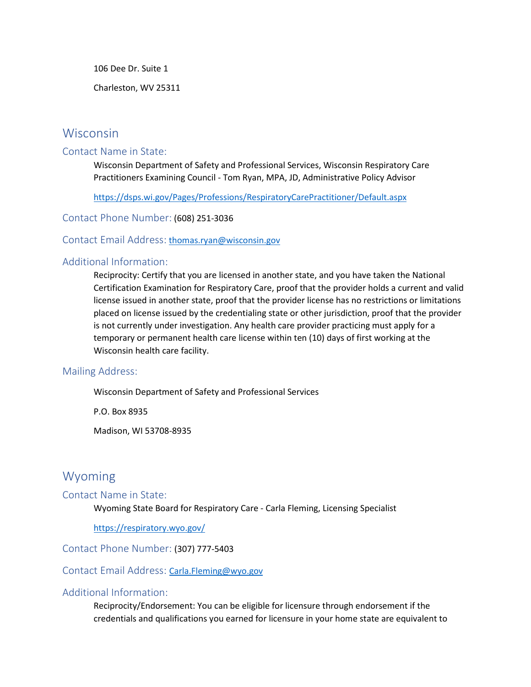106 Dee Dr. Suite 1

Charleston, WV 25311

# Wisconsin

#### Contact Name in State:

Wisconsin Department of Safety and Professional Services, Wisconsin Respiratory Care Practitioners Examining Council - Tom Ryan, MPA, JD, Administrative Policy Advisor

<https://dsps.wi.gov/Pages/Professions/RespiratoryCarePractitioner/Default.aspx>

Contact Phone Number: (608) 251-3036

#### Contact Email Address: [thomas.ryan@wisconsin.gov](mailto:thomas.ryan@wisconsin.gov)

#### Additional Information:

Reciprocity: Certify that you are licensed in another state, and you have taken the National Certification Examination for Respiratory Care, proof that the provider holds a current and valid license issued in another state, proof that the provider license has no restrictions or limitations placed on license issued by the credentialing state or other jurisdiction, proof that the provider is not currently under investigation. Any health care provider practicing must apply for a temporary or permanent health care license within ten (10) days of first working at the Wisconsin health care facility.

#### Mailing Address:

Wisconsin Department of Safety and Professional Services

P.O. Box 8935

Madison, WI 53708-8935

# Wyoming

#### Contact Name in State:

Wyoming State Board for Respiratory Care - Carla Fleming, Licensing Specialist

<https://respiratory.wyo.gov/>

Contact Phone Number: (307) 777-5403

Contact Email Address:[Carla.Fleming@wyo.gov](mailto:Carla.Fleming@wyo.gov)

# Additional Information:

Reciprocity/Endorsement: You can be eligible for licensure through endorsement if the credentials and qualifications you earned for licensure in your home state are equivalent to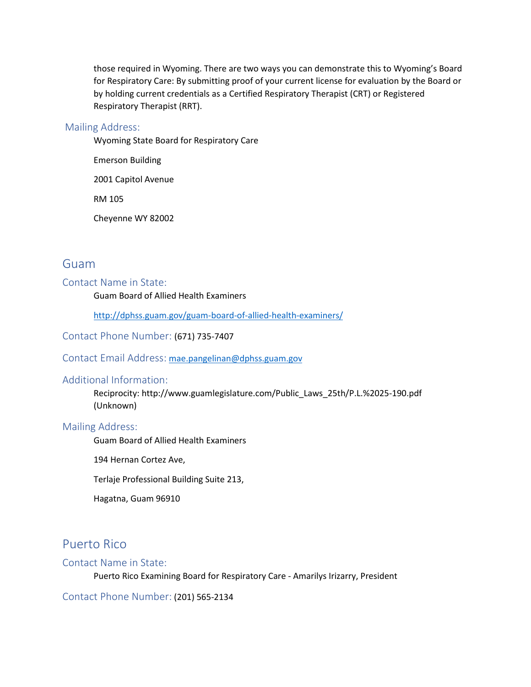those required in Wyoming. There are two ways you can demonstrate this to Wyoming's Board for Respiratory Care: By submitting proof of your current license for evaluation by the Board or by holding current credentials as a Certified Respiratory Therapist (CRT) or Registered Respiratory Therapist (RRT).

### Mailing Address:

Wyoming State Board for Respiratory Care

Emerson Building

2001 Capitol Avenue

RM 105

Cheyenne WY 82002

# Guam

#### Contact Name in State:

Guam Board of Allied Health Examiners

<http://dphss.guam.gov/guam-board-of-allied-health-examiners/>

Contact Phone Number: (671) 735-7407

# Contact Email Address: [mae.pangelinan@dphss.guam.gov](mailto:mae.pangelinan@dphss.guam.gov)

#### Additional Information:

Reciprocity: http://www.guamlegislature.com/Public\_Laws\_25th/P.L.%2025-190.pdf (Unknown)

### Mailing Address:

Guam Board of Allied Health Examiners

194 Hernan Cortez Ave,

Terlaje Professional Building Suite 213,

Hagatna, Guam 96910

# Puerto Rico

#### Contact Name in State:

Puerto Rico Examining Board for Respiratory Care - Amarilys Irizarry, President

Contact Phone Number: (201) 565-2134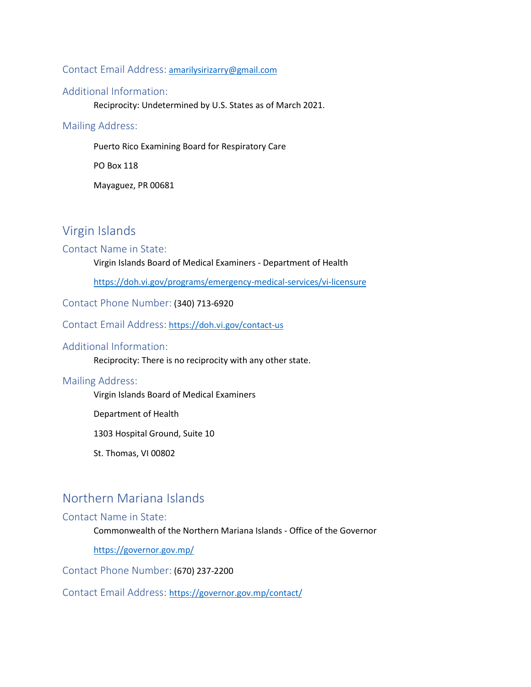# Contact Email Address: [amarilysirizarry@gmail.com](mailto:amarilysirizarry@gmail.com)

#### Additional Information:

Reciprocity: Undetermined by U.S. States as of March 2021.

#### Mailing Address:

Puerto Rico Examining Board for Respiratory Care

PO Box 118

Mayaguez, PR 00681

# Virgin Islands

# Contact Name in State:

Virgin Islands Board of Medical Examiners - Department of Health

<https://doh.vi.gov/programs/emergency-medical-services/vi-licensure>

Contact Phone Number: (340) 713-6920

Contact Email Address: <https://doh.vi.gov/contact-us>

#### Additional Information:

Reciprocity: There is no reciprocity with any other state.

#### Mailing Address:

Virgin Islands Board of Medical Examiners

Department of Health

1303 Hospital Ground, Suite 10

St. Thomas, VI 00802

# Northern Mariana Islands

### Contact Name in State:

Commonwealth of the Northern Mariana Islands - Office of the Governor

<https://governor.gov.mp/>

Contact Phone Number: (670) 237-2200

Contact Email Address:<https://governor.gov.mp/contact/>